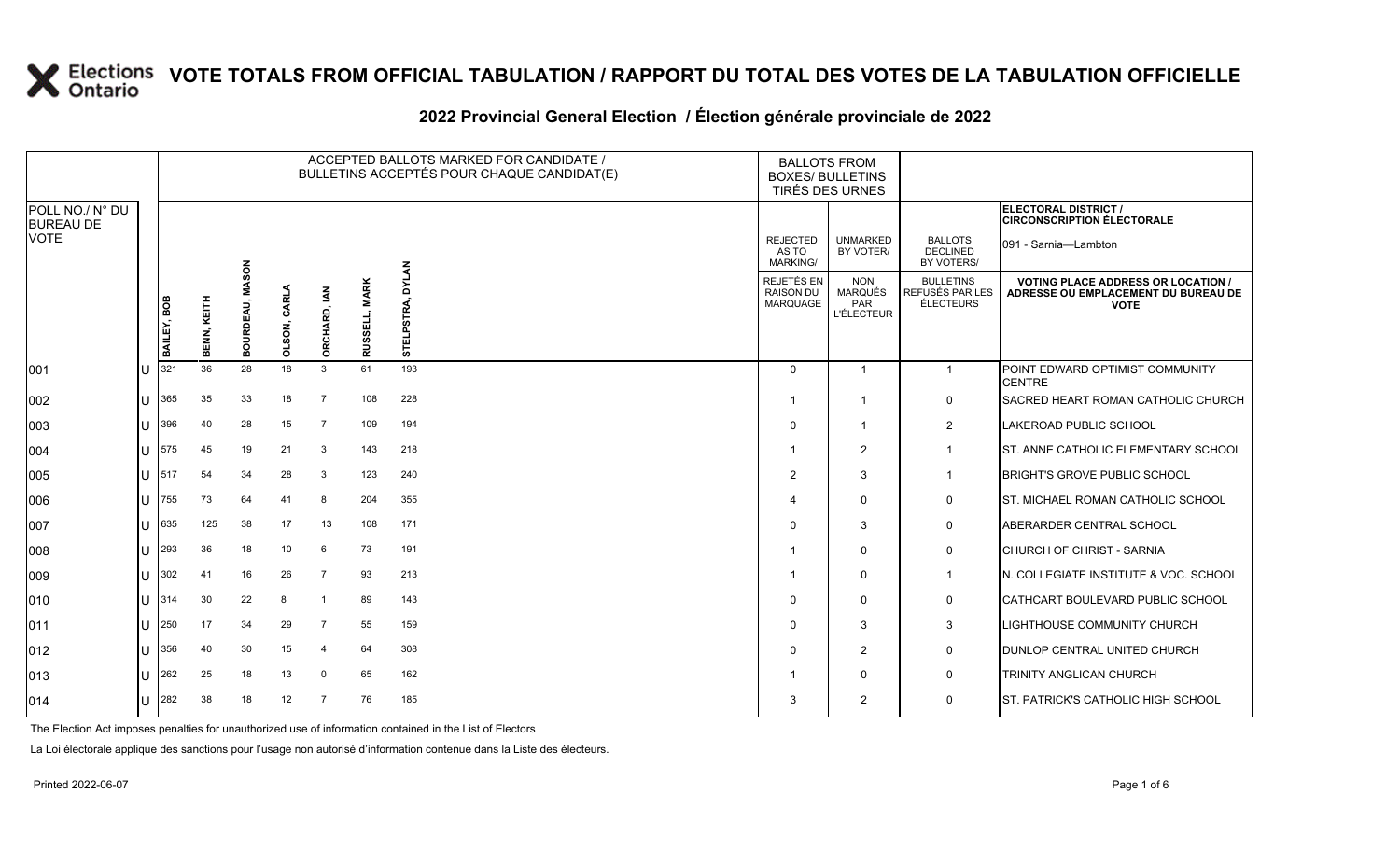#### **2022 Provincial General Election / Élection générale provinciale de 2022**

|                                     |    |             |             |                                |                |                |                | ACCEPTED BALLOTS MARKED FOR CANDIDATE /<br>BULLETINS ACCEPTÉS POUR CHAQUE CANDIDAT(E) | <b>BALLOTS FROM</b><br><b>BOXES/ BULLETINS</b><br>TIRÉS DES URNES |                                                                 |                                                  |                                                                                                 |
|-------------------------------------|----|-------------|-------------|--------------------------------|----------------|----------------|----------------|---------------------------------------------------------------------------------------|-------------------------------------------------------------------|-----------------------------------------------------------------|--------------------------------------------------|-------------------------------------------------------------------------------------------------|
| POLL NO./ N° DU<br><b>BUREAU DE</b> |    |             |             |                                |                |                |                |                                                                                       |                                                                   |                                                                 |                                                  | ELECTORAL DISTRICT /<br><b>CIRCONSCRIPTION ÉLECTORALE</b>                                       |
| <b>VOTE</b>                         |    |             |             |                                |                |                |                |                                                                                       | <b>REJECTED</b><br>AS TO<br><b>MARKING/</b>                       | <b>UNMARKED</b><br>BY VOTER/                                    | <b>BALLOTS</b><br>DECLINED<br>BY VOTERS/         | 091 - Sarnia-Lambton                                                                            |
|                                     |    | BAILEY, BOB | BENN, KEITH | <b>MASON</b><br><b>BOURDEA</b> | CARL<br>OLSON, | ORCHARD, IAN   | <b>RUSSELI</b> | <b>DYLAN</b><br>STRA.<br>STEL                                                         | REJETÉS EN<br><b>RAISON DU</b><br><b>MARQUAGE</b>                 | <b>NON</b><br><b>MARQUÉS</b><br><b>PAR</b><br><b>L'ÉLECTEUR</b> | <b>BULLETINS</b><br>REFUSÉS PAR LES<br>ÉLECTEURS | <b>VOTING PLACE ADDRESS OR LOCATION /</b><br>ADRESSE OU EMPLACEMENT DU BUREAU DE<br><b>VOTE</b> |
| 001                                 | ΙU | 321         | 36          | 28                             | 18             | $\mathbf{3}$   | 61             | 193                                                                                   | $\Omega$                                                          | -1                                                              | $\overline{1}$                                   | POINT EDWARD OPTIMIST COMMUNITY<br><b>CENTRE</b>                                                |
| 002                                 | ΙU | 365         | 35          | 33                             | 18             | $\overline{7}$ | 108            | 228                                                                                   |                                                                   | -1                                                              | 0                                                | SACRED HEART ROMAN CATHOLIC CHURCH                                                              |
| 003                                 | lU | 396         | 40          | 28                             | 15             | $\overline{7}$ | 109            | 194                                                                                   | $\Omega$                                                          | -1                                                              | $\overline{2}$                                   | LAKEROAD PUBLIC SCHOOL                                                                          |
| 004                                 | ΙU | 575         | 45          | 19                             | 21             | 3              | 143            | 218                                                                                   |                                                                   | $\overline{2}$                                                  | $\overline{1}$                                   | ST. ANNE CATHOLIC ELEMENTARY SCHOOL                                                             |
| 005                                 | lU | 517         | 54          | 34                             | 28             | -3             | 123            | 240                                                                                   | $\overline{2}$                                                    | 3                                                               | $\mathbf 1$                                      | <b>BRIGHT'S GROVE PUBLIC SCHOOL</b>                                                             |
| 006                                 | IП | 755         | 73          | 64                             | 41             | 8              | 204            | 355                                                                                   | $\overline{4}$                                                    | $\Omega$                                                        | 0                                                | <b>ST. MICHAEL ROMAN CATHOLIC SCHOOL</b>                                                        |
| 007                                 | lθ | 635         | 125         | 38                             | 17             | 13             | 108            | 171                                                                                   | $\Omega$                                                          | 3                                                               | $\mathbf 0$                                      | ABERARDER CENTRAL SCHOOL                                                                        |
| 008                                 | ΙU | 293         | 36          | 18                             | 10             | 6              | 73             | 191                                                                                   |                                                                   | $\Omega$                                                        | 0                                                | CHURCH OF CHRIST - SARNIA                                                                       |
| 009                                 | ΙU | 302         | 41          | 16                             | 26             | $\overline{7}$ | 93             | 213                                                                                   |                                                                   | $\Omega$                                                        | $\mathbf 1$                                      | N. COLLEGIATE INSTITUTE & VOC. SCHOOL                                                           |
| 010                                 | ΙU | 314         | 30          | 22                             | 8              | -1             | 89             | 143                                                                                   | $\Omega$                                                          | $\Omega$                                                        | $\mathbf 0$                                      | CATHCART BOULEVARD PUBLIC SCHOOL                                                                |
| $ 011\rangle$                       | lU | 250         | 17          | 34                             | 29             | $\overline{7}$ | 55             | 159                                                                                   | $\mathbf 0$                                                       | 3                                                               | 3                                                | LIGHTHOUSE COMMUNITY CHURCH                                                                     |
| $ 012\rangle$                       | ΙU | 356         | 40          | 30                             | 15             | $\overline{4}$ | 64             | 308                                                                                   | $\Omega$                                                          | $\overline{2}$                                                  | 0                                                | DUNLOP CENTRAL UNITED CHURCH                                                                    |
| $ 013\rangle$                       | IП | 262         | 25          | 18                             | 13             | $\overline{0}$ | 65             | 162                                                                                   |                                                                   | $\Omega$                                                        | 0                                                | TRINITY ANGLICAN CHURCH                                                                         |
| $ 014\rangle$                       | IП | 282         | 38          | 18                             | 12             | $\overline{7}$ | 76             | 185                                                                                   | 3                                                                 | $\overline{2}$                                                  | 0                                                | <b>ST. PATRICK'S CATHOLIC HIGH SCHOOL</b>                                                       |

The Election Act imposes penalties for unauthorized use of information contained in the List of Electors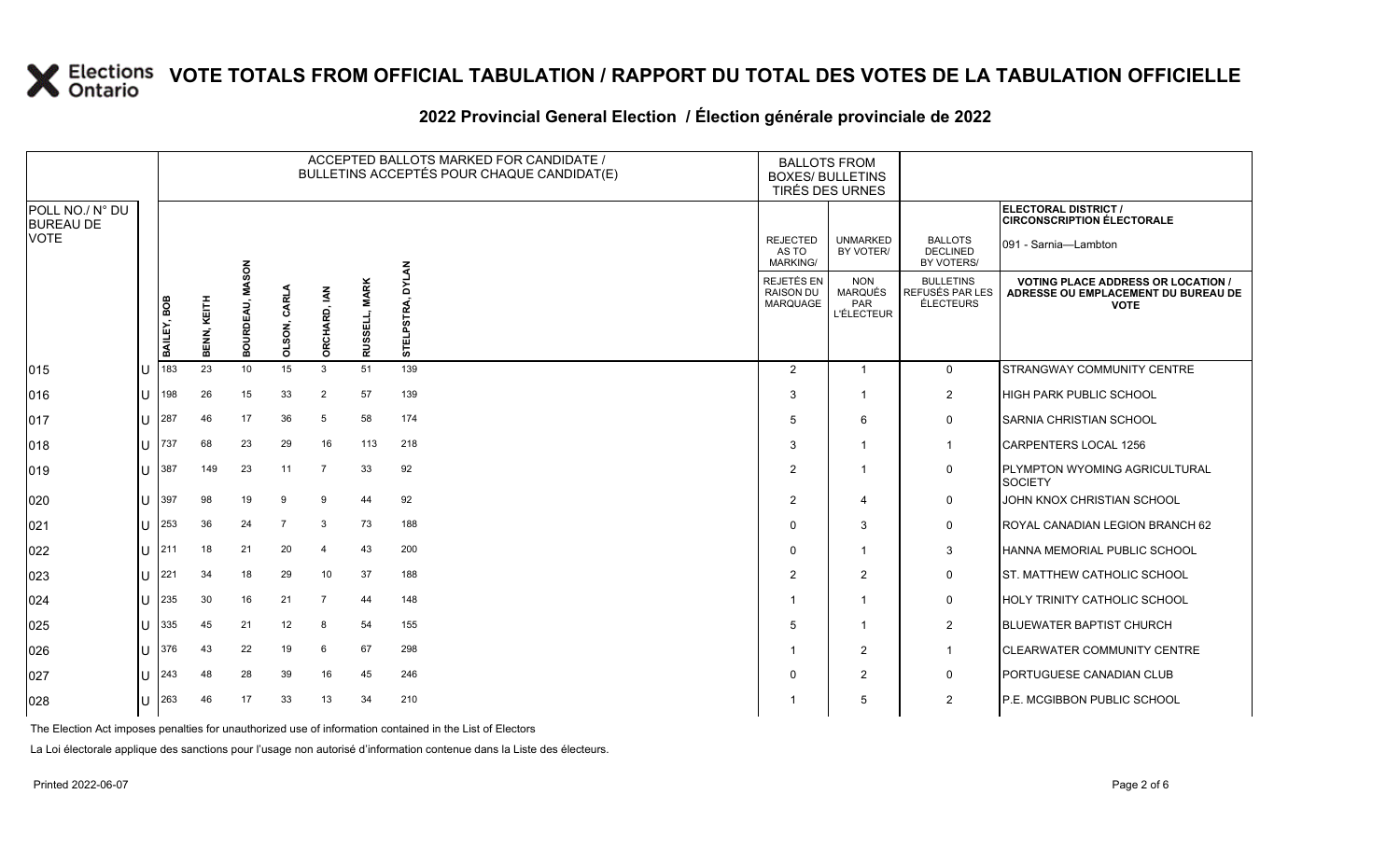#### **2022 Provincial General Election / Élection générale provinciale de 2022**

|                                     |    |             |             |                                |                |                        |                                     | ACCEPTED BALLOTS MARKED FOR CANDIDATE /<br>BULLETINS ACCEPTÉS POUR CHAQUE CANDIDAT(E) | <b>BALLOTS FROM</b><br><b>BOXES/ BULLETINS</b> | <b>TIRÉS DES URNES</b>                                   |                                                                |                                                                                                 |
|-------------------------------------|----|-------------|-------------|--------------------------------|----------------|------------------------|-------------------------------------|---------------------------------------------------------------------------------------|------------------------------------------------|----------------------------------------------------------|----------------------------------------------------------------|-------------------------------------------------------------------------------------------------|
| POLL NO./ N° DU<br><b>BUREAU DE</b> |    |             |             |                                |                |                        |                                     |                                                                                       |                                                |                                                          |                                                                | ELECTORAL DISTRICT /<br><b>CIRCONSCRIPTION ÉLECTORALE</b>                                       |
| <b>VOTE</b>                         |    |             |             |                                |                |                        |                                     |                                                                                       | <b>REJECTED</b><br>AS TO<br><b>MARKING/</b>    | <b>UNMARKED</b><br>BY VOTER/                             | <b>BALLOTS</b><br><b>DECLINED</b><br>BY VOTERS/                | 091 - Sarnia-Lambton                                                                            |
|                                     |    | BAILEY, BOB | BENN, KEITH | <b>MASON</b><br><b>BOURDEA</b> | OLSON, CARLA   | ORCHARD, IAN           | <b>MARK</b><br>긆<br>ळ<br><b>RUS</b> | <b>DYLAN</b><br>ᆸ<br>5                                                                | REJETÉS EN<br>RAISON DU<br>MARQUAGE            | <b>NON</b><br>MARQUÉS<br><b>PAR</b><br><b>L'ÉLECTEUR</b> | <b>BULLETINS</b><br><b>REFUSÉS PAR LES</b><br><b>ÉLECTEURS</b> | <b>VOTING PLACE ADDRESS OR LOCATION /</b><br>ADRESSE OU EMPLACEMENT DU BUREAU DE<br><b>VOTE</b> |
| 015                                 | Iυ | 183         | 23          | 10                             | 15             | 3                      | 51                                  | 139                                                                                   | 2                                              | $\overline{1}$                                           | $\mathbf 0$                                                    | STRANGWAY COMMUNITY CENTRE                                                                      |
| $ 016\rangle$                       | lu | 198         | 26          | 15                             | 33             | $\overline{2}$         | 57                                  | 139                                                                                   | 3                                              | $\mathbf{1}$                                             | $\overline{2}$                                                 | <b>HIGH PARK PUBLIC SCHOOL</b>                                                                  |
| 017                                 | lu | 287         | 46          | 17                             | 36             | 5                      | 58                                  | 174                                                                                   | 5                                              | 6                                                        | $\mathbf 0$                                                    | <b>SARNIA CHRISTIAN SCHOOL</b>                                                                  |
| 018                                 | Iυ | 737         | 68          | 23                             | 29             | 16                     | 113                                 | 218                                                                                   | 3                                              | 1                                                        | $\mathbf{1}$                                                   | CARPENTERS LOCAL 1256                                                                           |
| $ 019\rangle$                       | lu | 387         | 149         | 23                             | 11             | $\overline{7}$         | 33                                  | 92                                                                                    | $\overline{2}$                                 | $\mathbf{1}$                                             | 0                                                              | PLYMPTON WYOMING AGRICULTURAL<br><b>SOCIETY</b>                                                 |
| 020                                 | lu | 397         | 98          | 19                             | 9              | 9                      | 44                                  | 92                                                                                    | 2                                              | $\overline{4}$                                           | $\mathbf 0$                                                    | JOHN KNOX CHRISTIAN SCHOOL                                                                      |
| 021                                 | lu | 253         | 36          | 24                             | $\overline{7}$ | 3                      | 73                                  | 188                                                                                   | $\Omega$                                       | 3                                                        | $\mathsf{O}$                                                   | ROYAL CANADIAN LEGION BRANCH 62                                                                 |
| 022                                 | lu | 211         | 18          | 21                             | 20             | $\boldsymbol{\Lambda}$ | 43                                  | 200                                                                                   | $\Omega$                                       | 1                                                        | 3                                                              | HANNA MEMORIAL PUBLIC SCHOOL                                                                    |
| 023                                 | IП | 221         | 34          | 18                             | 29             | 10                     | 37                                  | 188                                                                                   | 2                                              | $\overline{2}$                                           | 0                                                              | ST. MATTHEW CATHOLIC SCHOOL                                                                     |
| 024                                 | lu | 235         | 30          | 16                             | 21             | $\overline{7}$         | 44                                  | 148                                                                                   |                                                | $\mathbf{1}$                                             | 0                                                              | <b>HOLY TRINITY CATHOLIC SCHOOL</b>                                                             |
| 025                                 | lu | 335         | 45          | 21                             | 12             | 8                      | 54                                  | 155                                                                                   | 5                                              | 1                                                        | $\overline{2}$                                                 | <b>BLUEWATER BAPTIST CHURCH</b>                                                                 |
| 026                                 | Iп | 376         | 43          | 22                             | 19             | 6                      | 67                                  | 298                                                                                   |                                                | $\overline{2}$                                           | $\mathbf{1}$                                                   | <b>CLEARWATER COMMUNITY CENTRE</b>                                                              |
| 027                                 | lu | 243         | 48          | 28                             | 39             | 16                     | 45                                  | 246                                                                                   | $\Omega$                                       | $\mathbf{2}$                                             | $\mathsf{O}$                                                   | PORTUGUESE CANADIAN CLUB                                                                        |
| 028                                 | lu | 263         | 46          | 17                             | 33             | 13                     | 34                                  | 210                                                                                   |                                                | 5                                                        | $\overline{2}$                                                 | P.E. MCGIBBON PUBLIC SCHOOL                                                                     |

The Election Act imposes penalties for unauthorized use of information contained in the List of Electors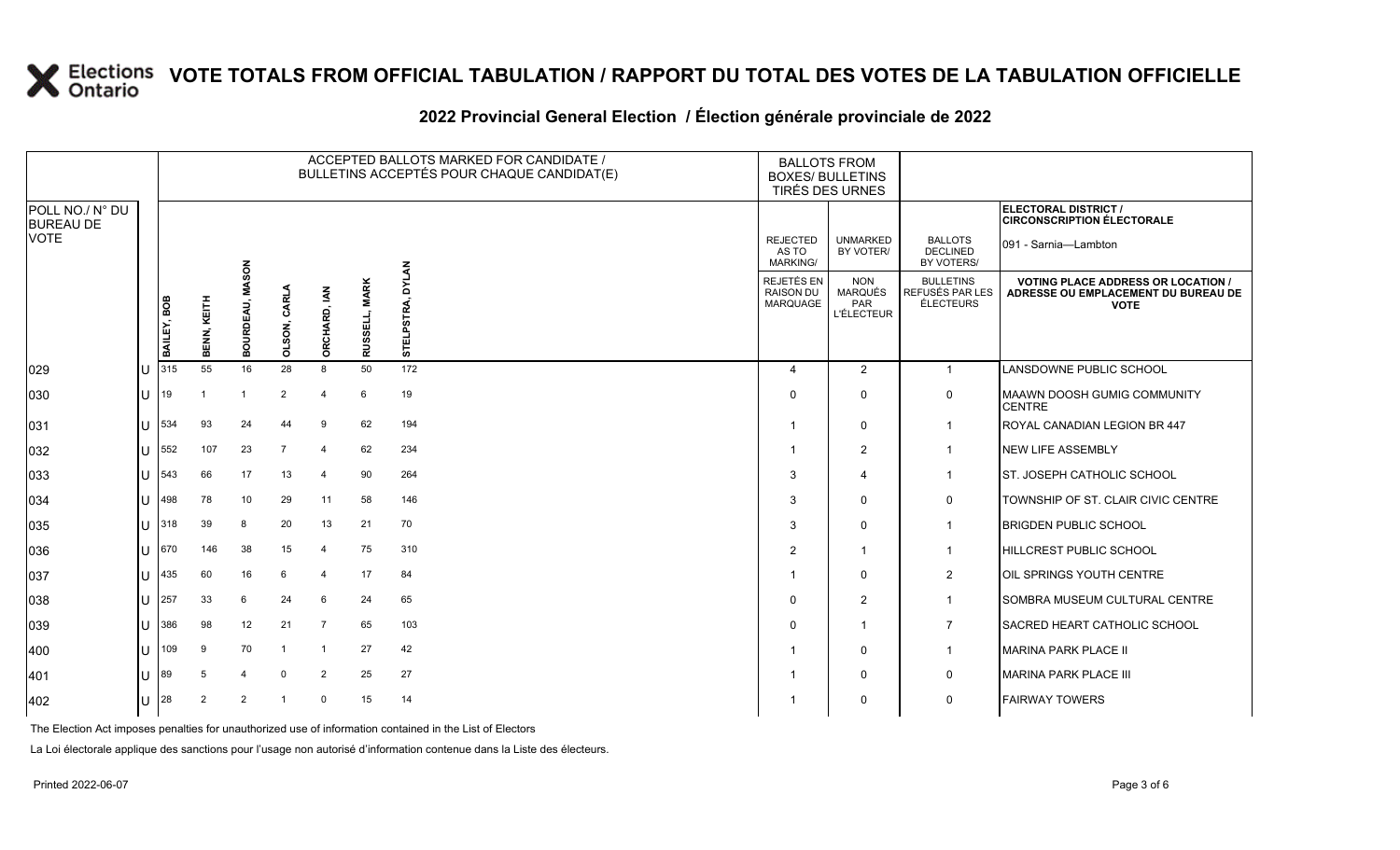#### **2022 Provincial General Election / Élection générale provinciale de 2022**

|                                     |    |             |                |                                |                |                     |                                    | ACCEPTED BALLOTS MARKED FOR CANDIDATE /<br>BULLETINS ACCEPTÉS POUR CHAQUE CANDIDAT(E) | <b>BALLOTS FROM</b><br><b>BOXES/ BULLETINS</b> | <b>TIRÉS DES URNES</b>                            |                                                  |                                                                                                 |
|-------------------------------------|----|-------------|----------------|--------------------------------|----------------|---------------------|------------------------------------|---------------------------------------------------------------------------------------|------------------------------------------------|---------------------------------------------------|--------------------------------------------------|-------------------------------------------------------------------------------------------------|
| POLL NO./ N° DU<br><b>BUREAU DE</b> |    |             |                |                                |                |                     |                                    |                                                                                       |                                                |                                                   |                                                  | ELECTORAL DISTRICT /<br><b>CIRCONSCRIPTION ÉLECTORALE</b>                                       |
| <b>VOTE</b>                         |    |             |                |                                |                |                     |                                    |                                                                                       | <b>REJECTED</b><br>AS TO<br><b>MARKING/</b>    | <b>UNMARKED</b><br>BY VOTER/                      | <b>BALLOTS</b><br><b>DECLINED</b><br>BY VOTERS/  | 091 - Sarnia-Lambton                                                                            |
|                                     |    | BAILEY, BOB | BENN, KEITH    | <b>MASON</b><br><b>BOURDEA</b> | OLSON, CARLA   | <b>ORCHARD, IAN</b> | <b>MARK</b><br>SELL,<br><b>RUS</b> | <b>DYLAN</b><br>ΓRΑ.<br>တ္တ<br>STEL                                                   | REJETÉS EN<br>RAISON DU<br><b>MARQUAGE</b>     | <b>NON</b><br>MARQUÉS<br>PAR<br><b>L'ÉLECTEUR</b> | <b>BULLETINS</b><br>REFUSÉS PAR LES<br>ÉLECTEURS | <b>VOTING PLACE ADDRESS OR LOCATION /</b><br>ADRESSE OU EMPLACEMENT DU BUREAU DE<br><b>VOTE</b> |
| 029                                 | ΙU | 315         | 55             | 16                             | 28             | 8                   | 50                                 | 172                                                                                   | $\overline{4}$                                 | 2                                                 | $\overline{1}$                                   | LANSDOWNE PUBLIC SCHOOL                                                                         |
| 030                                 | lU | 19          |                |                                | $\overline{2}$ | $\overline{4}$      | 6                                  | 19                                                                                    | $\Omega$                                       | 0                                                 | $\mathsf{O}$                                     | <b>MAAWN DOOSH GUMIG COMMUNITY</b><br><b>CENTRE</b>                                             |
| 031                                 | lu | 534         | 93             | 24                             | 44             | 9                   | 62                                 | 194                                                                                   |                                                | 0                                                 | $\overline{1}$                                   | ROYAL CANADIAN LEGION BR 447                                                                    |
| 032                                 | ΙU | 552         | 107            | 23                             | $\overline{7}$ | $\overline{4}$      | 62                                 | 234                                                                                   |                                                | $\overline{2}$                                    | $\overline{1}$                                   | <b>NEW LIFE ASSEMBLY</b>                                                                        |
| 033                                 | IU | 543         | 66             | 17                             | 13             | $\overline{4}$      | 90                                 | 264                                                                                   | 3                                              | $\overline{4}$                                    | $\mathbf{1}$                                     | <b>ST. JOSEPH CATHOLIC SCHOOL</b>                                                               |
| 034                                 | lU | 498         | 78             | 10                             | 29             | 11                  | 58                                 | 146                                                                                   | 3                                              | 0                                                 | 0                                                | TOWNSHIP OF ST. CLAIR CIVIC CENTRE                                                              |
| 035                                 | IП | 318         | 39             | 8                              | 20             | 13                  | 21                                 | 70                                                                                    | 3                                              | $\mathbf 0$                                       | $\overline{1}$                                   | <b>BRIGDEN PUBLIC SCHOOL</b>                                                                    |
| 036                                 | lU | 670         | 146            | 38                             | 15             | $\overline{4}$      | 75                                 | 310                                                                                   | 2                                              | -1                                                | $\overline{1}$                                   | HILLCREST PUBLIC SCHOOL                                                                         |
| 037                                 | Ш  | 435         | 60             | 16                             | 6              | $\overline{4}$      | 17                                 | 84                                                                                    |                                                | $\Omega$                                          | $\overline{2}$                                   | OIL SPRINGS YOUTH CENTRE                                                                        |
| 038                                 | lu | 257         | 33             | 6                              | 24             | 6                   | 24                                 | 65                                                                                    | $\Omega$                                       | $\overline{2}$                                    | $\mathbf{1}$                                     | SOMBRA MUSEUM CULTURAL CENTRE                                                                   |
| 039                                 | ΙU | 386         | 98             | 12                             | 21             | $\overline{7}$      | 65                                 | 103                                                                                   | 0                                              | $\overline{1}$                                    | $\overline{7}$                                   | SACRED HEART CATHOLIC SCHOOL                                                                    |
| 400                                 | lu | 109         | 9              | 70                             |                | -1                  | 27                                 | 42                                                                                    |                                                | 0                                                 | $\overline{1}$                                   | <b>MARINA PARK PLACE II</b>                                                                     |
| 401                                 | lu | 89          | 5              | 4                              | $\mathbf 0$    | $\overline{2}$      | 25                                 | 27                                                                                    |                                                | $\mathbf 0$                                       | $\mathsf{O}$                                     | <b>MARINA PARK PLACE III</b>                                                                    |
| 402                                 | ΙU | 28          | $\overline{2}$ | 2                              | $\mathbf 1$    | 0                   | 15                                 | 14                                                                                    |                                                | 0                                                 | 0                                                | <b>FAIRWAY TOWERS</b>                                                                           |

The Election Act imposes penalties for unauthorized use of information contained in the List of Electors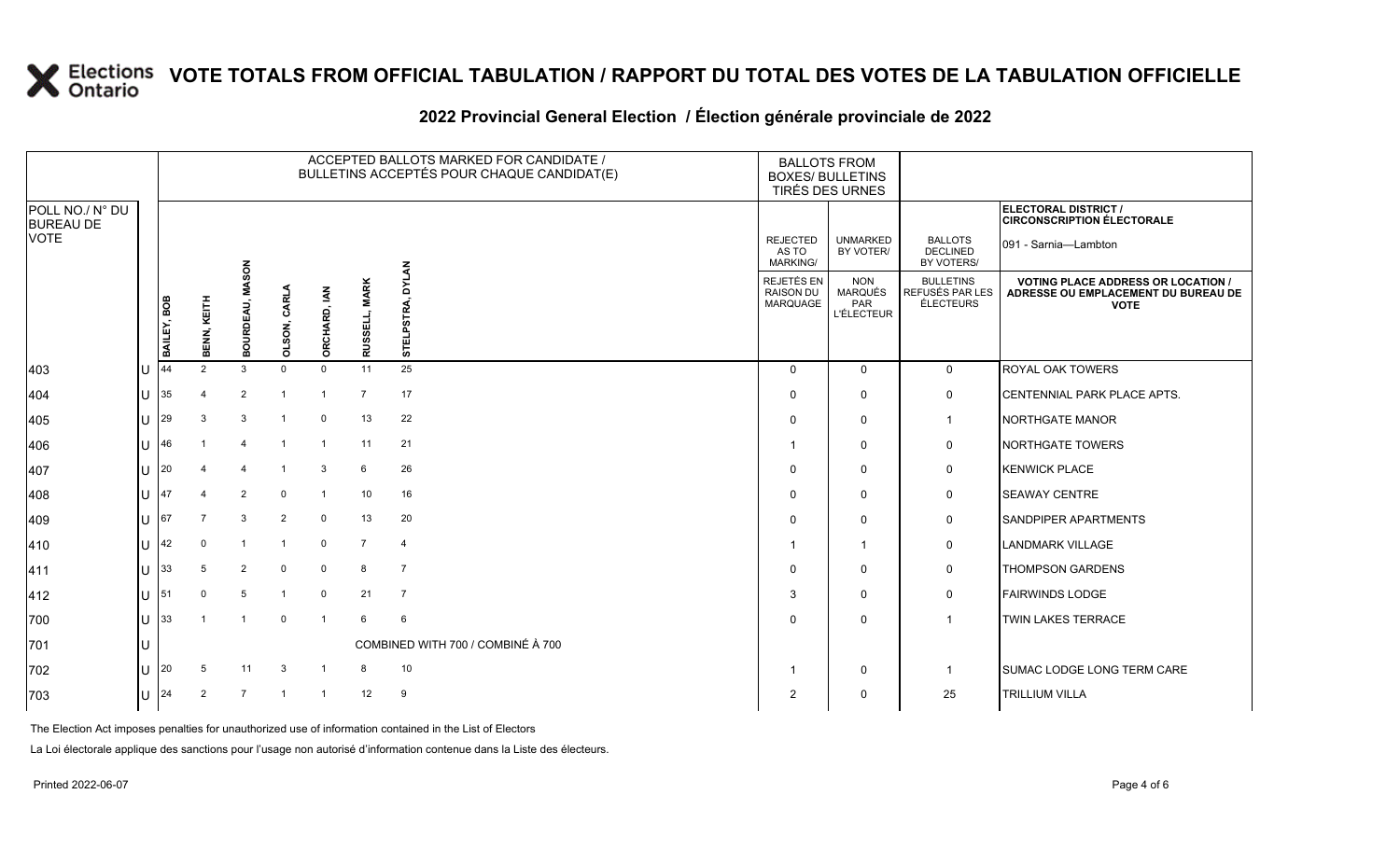#### **2022 Provincial General Election / Élection générale provinciale de 2022**

|                                     |     |             |                |                          |                |                         |                         | ACCEPTED BALLOTS MARKED FOR CANDIDATE /<br>BULLETINS ACCEPTÉS POUR CHAQUE CANDIDAT(E) | <b>BALLOTS FROM</b><br><b>BOXES/ BULLETINS</b><br>TIRÉS DES URNES |                                                   |                                                  |                                                                                                 |  |
|-------------------------------------|-----|-------------|----------------|--------------------------|----------------|-------------------------|-------------------------|---------------------------------------------------------------------------------------|-------------------------------------------------------------------|---------------------------------------------------|--------------------------------------------------|-------------------------------------------------------------------------------------------------|--|
| POLL NO./ N° DU<br><b>BUREAU DE</b> |     |             |                |                          |                |                         |                         |                                                                                       |                                                                   |                                                   |                                                  | <b>ELECTORAL DISTRICT /</b><br><b>CIRCONSCRIPTION ÉLECTORALE</b>                                |  |
| <b>VOTE</b>                         |     |             |                |                          |                |                         |                         | ¥                                                                                     | <b>REJECTED</b><br>AS TO<br><b>MARKING/</b>                       | <b>UNMARKED</b><br>BY VOTER/                      | <b>BALLOTS</b><br><b>DECLINED</b><br>BY VOTERS/  | 091 - Sarnia-Lambton                                                                            |  |
|                                     |     | BAILEY, BOB | BENN, KEITH    | <b>ASON</b><br>BOURDEAU, | OLSON, CARL    | ORCHARD, IAN            | <b>MARK</b><br>RUSSELL, | Σ<br>≵<br><b>STELPST</b>                                                              | REJETÉS EN<br><b>RAISON DU</b><br><b>MARQUAGE</b>                 | <b>NON</b><br>MARQUÉS<br>PAR<br><b>L'ÉLECTEUR</b> | <b>BULLETINS</b><br>REFUSÉS PAR LES<br>ÉLECTEURS | <b>VOTING PLACE ADDRESS OR LOCATION /</b><br>ADRESSE OU EMPLACEMENT DU BUREAU DE<br><b>VOTE</b> |  |
| 403                                 | lU  | 44          | $\overline{2}$ | 3                        | $\Omega$       | $\mathsf{O}$            | 11                      | 25                                                                                    | $\Omega$                                                          | $\mathbf{0}$                                      | $\mathbf 0$                                      | <b>ROYAL OAK TOWERS</b>                                                                         |  |
| 404                                 | lU  | 35          |                | $\overline{2}$           | -1             | -1                      | $\overline{7}$          | 17                                                                                    | $\Omega$                                                          | 0                                                 | 0                                                | CENTENNIAL PARK PLACE APTS.                                                                     |  |
| 405                                 | U   | 29          |                | 3                        |                | 0                       | 13                      | 22                                                                                    | $\Omega$                                                          | 0                                                 | -1                                               | NORTHGATE MANOR                                                                                 |  |
| 406                                 | U   | 46          |                |                          | $\overline{1}$ | $\overline{1}$          | 11                      | 21                                                                                    |                                                                   | 0                                                 | 0                                                | NORTHGATE TOWERS                                                                                |  |
| 407                                 | lU  | 20          |                |                          |                | 3                       | 6                       | 26                                                                                    | $\Omega$                                                          | $\mathbf{0}$                                      | 0                                                | <b>KENWICK PLACE</b>                                                                            |  |
| 408                                 | U   | 47          |                | $\overline{2}$           | $\mathbf 0$    |                         | 10                      | 16                                                                                    | $\Omega$                                                          | 0                                                 | 0                                                | <b>SEAWAY CENTRE</b>                                                                            |  |
| 409                                 | U   | 67          | $\overline{7}$ | 3                        | $\overline{2}$ | 0                       | 13                      | 20                                                                                    | $\Omega$                                                          | 0                                                 | 0                                                | <b>SANDPIPER APARTMENTS</b>                                                                     |  |
| 410                                 | lU  | 42          | 0              |                          | $\overline{1}$ | $\mathsf{O}$            | 7                       | 4                                                                                     |                                                                   | $\mathbf{1}$                                      | 0                                                | <b>LANDMARK VILLAGE</b>                                                                         |  |
| 411                                 | lu  | 33          | 5              | $\overline{2}$           | $\mathbf 0$    | 0                       | 8                       | $\overline{7}$                                                                        | $\Omega$                                                          | 0                                                 | 0                                                | <b>THOMPSON GARDENS</b>                                                                         |  |
| 412                                 | U   | 51          | $\mathbf 0$    | 5                        | $\overline{1}$ | $\mathbf 0$             | 21                      | $\overline{7}$                                                                        | 3                                                                 | $\mathbf{0}$                                      | 0                                                | <b>FAIRWINDS LODGE</b>                                                                          |  |
| 700                                 | lu  | 33          |                |                          | $\mathbf 0$    | $\overline{1}$          | 6                       | 6                                                                                     | $\Omega$                                                          | 0                                                 | -1                                               | TWIN LAKES TERRACE                                                                              |  |
| 701                                 | U   |             |                |                          |                |                         |                         | COMBINED WITH 700 / COMBINÉ À 700                                                     |                                                                   |                                                   |                                                  |                                                                                                 |  |
| 702                                 | lu  | 20          | 5              | 11                       | 3              | -1                      | 8                       | 10                                                                                    |                                                                   | 0                                                 | -1                                               | <b>SUMAC LODGE LONG TERM CARE</b>                                                               |  |
| 703                                 | lU. | 24          | $\overline{2}$ | $\overline{7}$           |                | $\overline{\mathbf{1}}$ | 12                      | 9                                                                                     | 2                                                                 | 0                                                 | 25                                               | <b>TRILLIUM VILLA</b>                                                                           |  |

The Election Act imposes penalties for unauthorized use of information contained in the List of Electors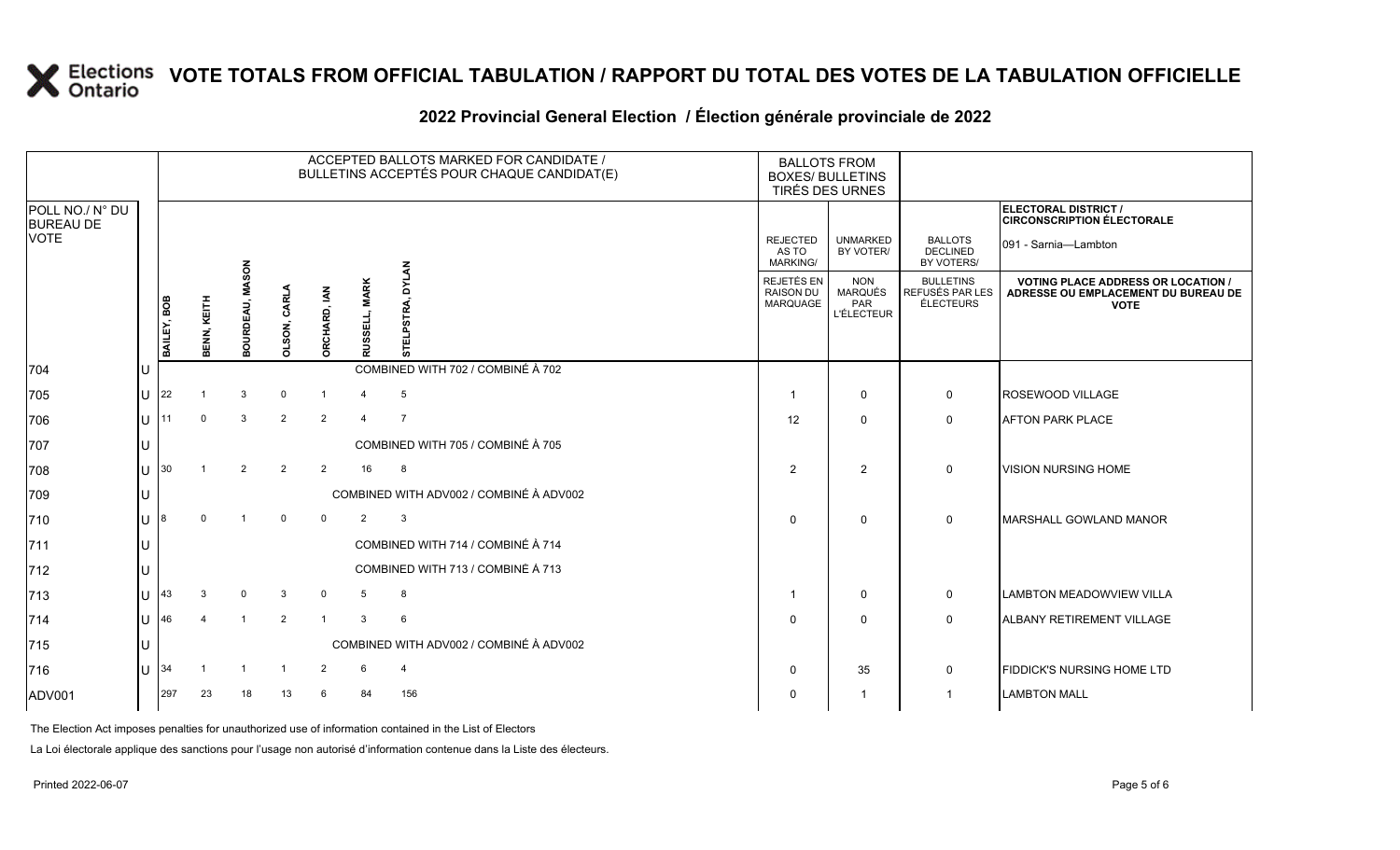#### **2022 Provincial General Election / Élection générale provinciale de 2022**

|                                     |     | ACCEPTED BALLOTS MARKED FOR CANDIDATE /<br>BULLETINS ACCEPTÉS POUR CHAQUE CANDIDAT(E) |             |                                 |                    |                     |                                |                                         |                                             | <b>BALLOTS FROM</b><br><b>BOXES/ BULLETINS</b><br>TIRÉS DES URNES |                                                   |                                                  |                                                                                                 |
|-------------------------------------|-----|---------------------------------------------------------------------------------------|-------------|---------------------------------|--------------------|---------------------|--------------------------------|-----------------------------------------|---------------------------------------------|-------------------------------------------------------------------|---------------------------------------------------|--------------------------------------------------|-------------------------------------------------------------------------------------------------|
| POLL NO./ N° DU<br><b>BUREAU DE</b> |     |                                                                                       |             |                                 |                    |                     |                                |                                         |                                             |                                                                   |                                                   |                                                  | ELECTORAL DISTRICT /<br><b>CIRCONSCRIPTION ÉLECTORALE</b>                                       |
| VOTE                                |     |                                                                                       |             |                                 |                    |                     |                                |                                         | <b>REJECTED</b><br>AS TO<br><b>MARKING/</b> |                                                                   | <b>UNMARKED</b><br>BY VOTER/                      | <b>BALLOTS</b><br><b>DECLINED</b><br>BY VOTERS/  | 091 - Sarnia-Lambton                                                                            |
|                                     |     | BAILEY, BOB                                                                           | BENN, KEITH | <b>MASON</b><br><b>BOURDEAU</b> | <b>DLSON, CARL</b> | <b>ORCHARD, IAN</b> | <b>MARK</b><br>팂<br><b>RUS</b> | P5<br>능                                 | REJETÉS EN<br><b>RAISON DU</b><br>MARQUAGE  |                                                                   | <b>NON</b><br>MARQUÉS<br>PAR<br><b>L'ÉLECTEUR</b> | <b>BULLETINS</b><br>REFUSÉS PAR LES<br>ÉLECTEURS | <b>VOTING PLACE ADDRESS OR LOCATION /</b><br>ADRESSE OU EMPLACEMENT DU BUREAU DE<br><b>VOTE</b> |
| 704                                 |     |                                                                                       |             |                                 |                    |                     |                                | COMBINED WITH 702 / COMBINÉ À 702       |                                             |                                                                   |                                                   |                                                  |                                                                                                 |
| 705                                 | lU. | 22                                                                                    |             | 3                               | 0                  | -1                  | -4                             | 5                                       |                                             |                                                                   | 0                                                 | 0                                                | <b>ROSEWOOD VILLAGE</b>                                                                         |
| 706                                 | lu- | 11                                                                                    | $\Omega$    | 3                               | $\overline{2}$     | $\overline{2}$      | $\overline{4}$                 | $\overline{7}$                          | 12                                          |                                                                   | $\mathbf{0}$                                      | 0                                                | <b>AFTON PARK PLACE</b>                                                                         |
| 707                                 |     |                                                                                       |             |                                 |                    |                     |                                | COMBINED WITH 705 / COMBINÉ À 705       |                                             |                                                                   |                                                   |                                                  |                                                                                                 |
| 708                                 |     | $\lfloor \rfloor$ $\rfloor$ 30                                                        |             | $\overline{2}$                  | 2                  | 2                   | 16                             | 8                                       | 2                                           |                                                                   | $\overline{2}$                                    | $\mathbf 0$                                      | <b>VISION NURSING HOME</b>                                                                      |
| 709                                 | IU  |                                                                                       |             |                                 |                    |                     |                                | COMBINED WITH ADV002 / COMBINÉ À ADV002 |                                             |                                                                   |                                                   |                                                  |                                                                                                 |
| 710                                 | ΙU  | 18                                                                                    |             |                                 | 0                  | $\Omega$            | $\overline{2}$                 | 3                                       | $\Omega$                                    |                                                                   | 0                                                 | 0                                                | <b>IMARSHALL GOWLAND MANOR</b>                                                                  |
| 711                                 | IU  |                                                                                       |             |                                 |                    |                     |                                | COMBINED WITH 714 / COMBINÉ À 714       |                                             |                                                                   |                                                   |                                                  |                                                                                                 |
| 712                                 |     |                                                                                       |             |                                 |                    |                     |                                | COMBINED WITH 713 / COMBINÉ À 713       |                                             |                                                                   |                                                   |                                                  |                                                                                                 |
| 713                                 | IU. | 43                                                                                    |             | $\Omega$                        | 3                  | $\mathbf 0$         | -5                             | 8                                       |                                             |                                                                   | 0                                                 | 0                                                | <b>LAMBTON MEADOWVIEW VILLA</b>                                                                 |
| 714                                 | lu- | 146                                                                                   |             | -1                              | $\overline{2}$     | $\mathbf{1}$        | 3                              | 6                                       | $\Omega$                                    |                                                                   | 0                                                 | 0                                                | <b>ALBANY RETIREMENT VILLAGE</b>                                                                |
| 715                                 | IU  |                                                                                       |             |                                 |                    |                     |                                | COMBINED WITH ADV002 / COMBINÉ À ADV002 |                                             |                                                                   |                                                   |                                                  |                                                                                                 |
| 716                                 |     | $\lfloor$ U 34                                                                        |             |                                 |                    | $\overline{2}$      | -6                             | $\overline{4}$                          | $\Omega$                                    |                                                                   | 35                                                | 0                                                | FIDDICK'S NURSING HOME LTD                                                                      |
| ADV001                              |     | 297                                                                                   | 23          | 18                              | 13                 | 6                   | 84                             | 156                                     | 0                                           |                                                                   | -1                                                |                                                  | <b>LAMBTON MALL</b>                                                                             |

The Election Act imposes penalties for unauthorized use of information contained in the List of Electors